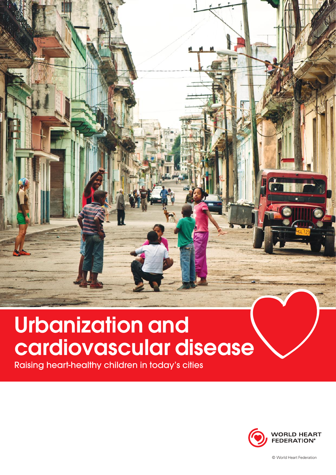# Urbanization and cardiovascular disease

Raising heart-healthy children in today's cities



© World Heart Federation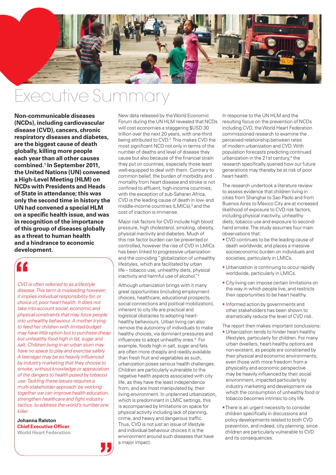

## Executive Sumr

**Non-communicable diseases (NCDs), including cardiovascular disease (CVD), cancers, chronic respiratory diseases and diabetes, are the biggest cause of death globally, killing more people each year than all other causes combined.1 In September 2011, the United Nations (UN) convened a High-Level Meeting (HLM) on NCDs with Presidents and Heads of State in attendance; this was only the second time in history the UN had convened a special HLM on a specific health issue, and was in recognition of the importance of this group of diseases globally as a threat to human health and a hindrance to economic development.**

*CVD is often referred to as a lifestyle disease. This term is misleading however; it implies individual responsibility for, or choice of, poor heart health. It does not take into account social, economic and physical constraints that may force people into unhealthy behaviour. A mother trying to feed her children with limited budget may have little option but to purchase cheap but unhealthy food high in fat, sugar and salt. Children living in an urban slum may have no space to play and exercise safely. A teenager may be so heavily influenced by industry marketing that they choose to smoke, without knowledge or appreciation of the dangers to health posed by tobacco use. Tackling these issues requires a multi-stakeholder approach: by working together we can improve health education, strengthen healthcare and fight industry tactics, to address the world's number one killer.*

**Johanna Ralston Chief Executive Officer World Heart Federation** New data released by the World Economic Forum during the UN HLM revealed that NCDs will cost economies a staggering \$USD 30 trillion over the next 20 years, with one-third being attributed to CVD.<sup>2</sup> This makes CVD the most significant NCD not only in terms of the number of deaths and level of disease they cause but also because of the financial strain they put on countries, especially those least well-equipped to deal with them. Contrary to common belief, the burden of morbidity and mortality from heart disease and stroke is not confined to affluent, high-income countries; with the exception of sub-Saharan Africa, CVD is the leading cause of death in low- and middle-income countries (LMICs),<sup>3</sup> and the cost of inaction is immense.

Major risk factors for CVD include high blood pressure, high cholesterol, smoking, obesity, physical inactivity and diabetes. Much of this risk factor burden can be prevented or controlled, however the rise of CVD in LMICs has been linked to progressive urbanization and the coinciding "globalization of unhealthy lifestyles, which are facilitated by urban life – tobacco use, unhealthy diets, physical inactivity and harmful use of alcohol."4

Although urbanization brings with it many great opportunities (including employment choices, healthcare, educational prospects, social connections and political mobilization), inherent to city life are practical and logistical obstacles to adopting hearthealthy behaviours. Urban living can also remove the autonomy of individuals to make healthy choices, via dominant pressures and influences to adopt unhealthy ones.<sup>5</sup> For example, foods high in salt, sugar and fats are often more cheaply and readily available than fresh fruit and vegetables as such, urbanization poses serious health challenges. Children are particularly vulnerable to the negative health aspects associated with city life, as they have the least independence from, and are most manipulated by, their living environment. In unplanned urbanization, which is predominant in LMIC settings, this is accompanied by limitations on space for physical activity including lack of planning, crime, and heavy and dangerous traffic. Thus, CVD is not just an issue of lifestyle and individual behaviour choices it is the environment around such diseases that have a major impact.

In response to the UN HLM and the resulting focus on the prevention of NCDs including CVD, the World Heart Federation commissioned research to examine the perceived relationship between rates of modern urbanization and CVD. With population forecasts predicting continued urbanization in the 21st century,<sup>6</sup> the research specifically queried how our future generations may thereby be at risk of poor heart health.

The research undertook a literature review to assess evidence that children living in cities from Shanghai to Sao Paolo and from Buenos Aires to Mexico City are at increased likelihood of exposure to CVD risk factors, including physical inactivity, unhealthy diets, tobacco use and exposure to secondhand smoke. The study assumes four main observations that:

- CVD continues to be the leading cause of death worldwide, and places a massive socioeconomic burden on individuals and societies, particularly in LMICs.
- Urbanization is continuing to occur rapidly worldwide, particularly in LMICs.
- City living can impose certain limitations on the way in which people live, and restricts their opportunities to be heart healthy.
- Informed action by governments and other stakeholders has been shown to dramatically reduce the level of CVD risk.
- The report then makes important conclusions: • Urbanization tends to hinder heart-healthy lifestyles, particularly for children. For many urban dwellers, heart-healthy options are non-existent, as people are constrained by their physical and economic environments; even those with more freedom from a physicality and economic perspective may be heavily influenced by their social environment, impacted particularly by industry marketing and development via which the consumption of unhealthy food or tobacco becomes intrinsic to city life.
- There is an urgent necessity to consider children specifically in discussions and policy developments related to both CVD prevention, and indeed, city planning, since children are particularly vulnerable to CVD and its consequences.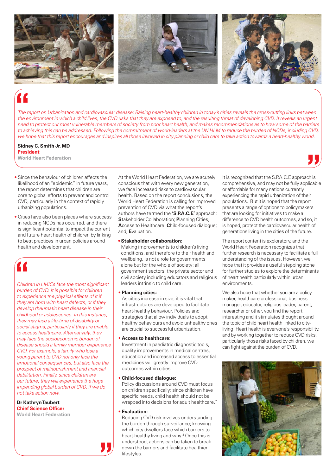

*The report on Urbanization and cardiovascular disease: Raising heart-healthy children in today's cities reveals the cross-cutting links between the environment in which a child lives, the CVD risks that they are exposed to, and the resulting threat of developing CVD. It reveals an urgent need to protect our most vulnerable members of society from poor heart health, and makes recommendations as to how some of the barriers to achieving this can be addressed. Following the commitment of world-leaders at the UN HLM to reduce the burden of NCDs, including CVD, we hope that this report encourages and inspires all those involved in city planning or child care to take action towards a heart-healthy world.*

## **Sidney C. Smith Jr, MD President**

**World Heart Federation**

- Since the behaviour of children affects the likelihood of an "epidemic" in future years, the report determines that children are core to global efforts to prevent and control CVD, particularly in the context of rapidly urbanizing populations.
- Cities have also been places where success in reducing NCDs has occurred, and there is significant potential to impact the current and future heart health of children by linking to best practices in urban policies around health and development.

*Children in LMICs face the most significant burden of CVD. It is possible for children to experience the physical effects of it if they are born with heart defects, or if they develop rheumatic heart disease in their childhood or adolescence. In this instance, they may face a life-time of disability or social stigma, particularly if they are unable to access healthcare. Alternatively, they may face the socioeconomic burden of disease should a family member experience CVD. For example, a family who lose a young parent to CVD not only face the emotional consequences, but also face the prospect of malnourishment and financial debilitation. Finally, since children are our future, they will experience the huge impending global burden of CVD, if we do not take action now.*

#### **Dr Kathryn Taubert Chief Science Officer World Heart Federation**

At the World Heart Federation, we are acutely conscious that with every new generation, we face increased risks to cardiovascular health. Based on the report conclusions, the World Heart Federation is calling for improved prevention of CVD via what the report's authors have termed the **'S.P.A.C.E'** approach: **S**takeholder Collaboration; **P**lanning Cities, **A**ccess to Healthcare; **C**hild-focused dialogue; and, **E**valuation.

### **• Stakeholder collaboration:**

Making improvements to children's living conditions, and therefore to their health and wellbeing, is not a role for governments alone but for the whole of society: all government sectors, the private sector and civil society including educators and religious leaders intrinsic to child care.

### • **Planning cities:**

As cities increase in size, it is vital that infrastructures are developed to facilitate heart-healthy behaviour. Policies and strategies that allow individuals to adopt healthy behaviours and avoid unhealthy ones are crucial to successful urbanization.

### • **Access to healthcare**:

Investment in paediatric diagnostic tools, quality improvements in medical centres, education and increased access to essential medicines will greatly improve CVD outcomes within cities.

### • **Child-focused dialogue:**

Policy discussions around CVD must focus on children specifically; since children have specific needs, child health should not be wrapped into decisions for adult healthcare.<sup>7</sup>

### • **Evaluation:**

Reducing CVD risk involves understanding the burden through surveillance; knowing which city dwellers face which barriers to heart-healthy living and why.4 Once this is understood, actions can be taken to break down the barriers and facilitate healthier lifestyles.

It is recognized that the S.P.A.C.E approach is comprehensive, and may not be fully applicable or affordable for many nations currently experiencing the rapid urbanization of their populations. But it is hoped that the report presents a range of options to policymakers that are looking for initiatives to make a difference to CVD health outcomes, and so, it is hoped, protect the cardiovascular health of generations living in the cities of the future.

The report content is exploratory, and the World Heart Federation recognizes that further research is necessary to facilitate a full understanding of the issues. However, we hope that it provides a useful stepping stone for further studies to explore the determinants of heart health particularly within urban environments.

We also hope that whether you are a policy maker, healthcare professional, business manager, educator, religious leader, parent, researcher or other, you find the report interesting and it stimulates thought around the topic of child heart health linked to cityliving. Heart health is everyone's responsibility, and by working together to reduce CVD risks, particularly those risks faced by children, we can fight against the burden of CVD.